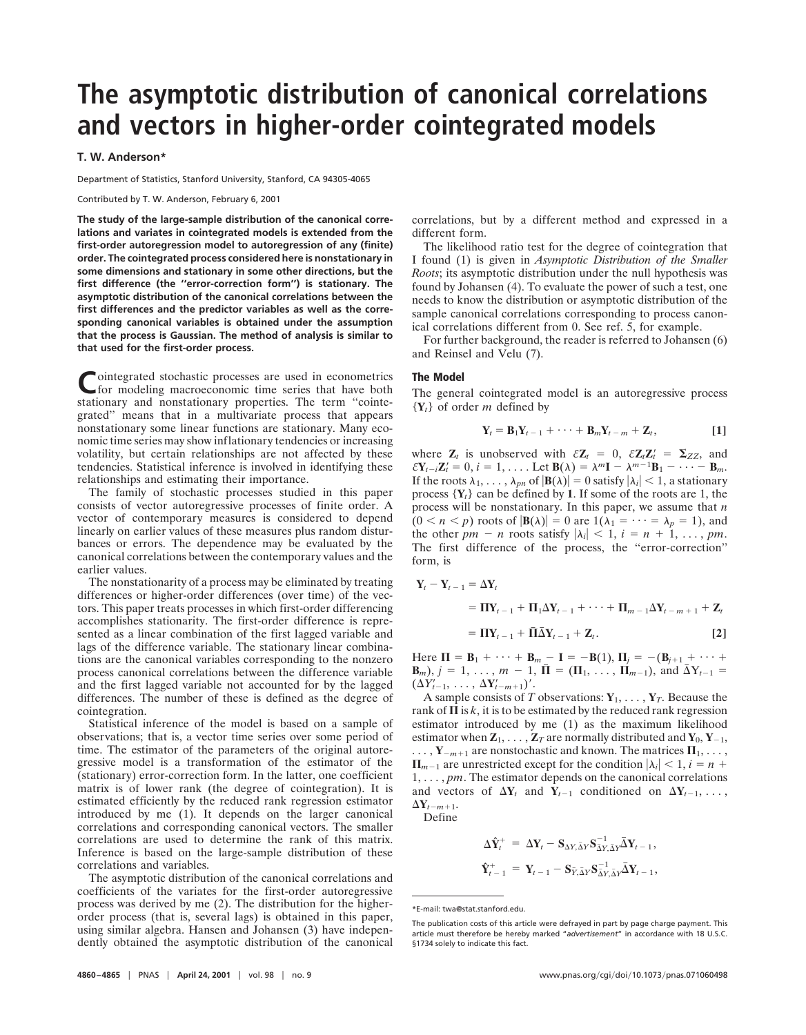# **The asymptotic distribution of canonical correlations and vectors in higher-order cointegrated models**

## **T. W. Anderson\***

Department of Statistics, Stanford University, Stanford, CA 94305-4065

Contributed by T. W. Anderson, February 6, 2001

**The study of the large-sample distribution of the canonical correlations and variates in cointegrated models is extended from the first-order autoregression model to autoregression of any (finite) order. The cointegrated process considered here is nonstationary in some dimensions and stationary in some other directions, but the first difference (the ''error-correction form'') is stationary. The asymptotic distribution of the canonical correlations between the first differences and the predictor variables as well as the corresponding canonical variables is obtained under the assumption that the process is Gaussian. The method of analysis is similar to that used for the first-order process.**

Cointegrated stochastic processes are used in econometrics<br>for modeling macroeconomic time series that have both stationary and nonstationary properties. The term ''cointegrated'' means that in a multivariate process that appears nonstationary some linear functions are stationary. Many economic time series may show inflationary tendencies or increasing volatility, but certain relationships are not affected by these tendencies. Statistical inference is involved in identifying these relationships and estimating their importance.

The family of stochastic processes studied in this paper consists of vector autoregressive processes of finite order. A vector of contemporary measures is considered to depend linearly on earlier values of these measures plus random disturbances or errors. The dependence may be evaluated by the canonical correlations between the contemporary values and the earlier values.

The nonstationarity of a process may be eliminated by treating differences or higher-order differences (over time) of the vectors. This paper treats processes in which first-order differencing accomplishes stationarity. The first-order difference is represented as a linear combination of the first lagged variable and lags of the difference variable. The stationary linear combinations are the canonical variables corresponding to the nonzero process canonical correlations between the difference variable and the first lagged variable not accounted for by the lagged differences. The number of these is defined as the degree of cointegration.

Statistical inference of the model is based on a sample of observations; that is, a vector time series over some period of time. The estimator of the parameters of the original autoregressive model is a transformation of the estimator of the (stationary) error-correction form. In the latter, one coefficient matrix is of lower rank (the degree of cointegration). It is estimated efficiently by the reduced rank regression estimator introduced by me (1). It depends on the larger canonical correlations and corresponding canonical vectors. The smaller correlations are used to determine the rank of this matrix. Inference is based on the large-sample distribution of these correlations and variables.

The asymptotic distribution of the canonical correlations and coefficients of the variates for the first-order autoregressive process was derived by me (2). The distribution for the higherorder process (that is, several lags) is obtained in this paper, using similar algebra. Hansen and Johansen (3) have independently obtained the asymptotic distribution of the canonical correlations, but by a different method and expressed in a different form.

The likelihood ratio test for the degree of cointegration that I found (1) is given in *Asymptotic Distribution of the Smaller Roots*; its asymptotic distribution under the null hypothesis was found by Johansen (4). To evaluate the power of such a test, one needs to know the distribution or asymptotic distribution of the sample canonical correlations corresponding to process canonical correlations different from 0. See ref. 5, for example.

For further background, the reader is referred to Johansen (6) and Reinsel and Velu (7).

### **The Model**

The general cointegrated model is an autoregressive process  ${Y_t}$  of order *m* defined by

$$
\mathbf{Y}_t = \mathbf{B}_1 \mathbf{Y}_{t-1} + \cdots + \mathbf{B}_m \mathbf{Y}_{t-m} + \mathbf{Z}_t, \tag{1}
$$

where  $\mathbf{Z}_t$  is unobserved with  $\mathcal{E}\mathbf{Z}_t = 0$ ,  $\mathcal{E}\mathbf{Z}_t\mathbf{Z}_t' = \mathbf{\Sigma}_{ZZ}$ , and  $\mathcal{E}Y_{t-i}Z_{t}^{\prime} = 0, i = 1, \ldots$  . Let  $B(\lambda) = \lambda^{m}I - \lambda^{m-1}B_{1} - \cdots - B_{m}$ . If the roots  $\lambda_1, \ldots, \lambda_{pn}$  of  $|\mathbf{B}(\lambda)| = 0$  satisfy  $|\lambda_i| < 1$ , a stationary process  ${Y_t}$  can be defined by **1**. If some of the roots are 1, the process will be nonstationary. In this paper, we assume that *n*  $(0 < n < p)$  roots of  $|\mathbf{B}(\lambda)| = 0$  are  $1(\lambda_1 = \cdots = \lambda_p = 1)$ , and the other *pm* – *n* roots satisfy  $|\lambda_i|$  < 1, *i* = *n* + 1, ..., *pm*. The first difference of the process, the ''error-correction'' form, is

$$
\mathbf{Y}_{t} - \mathbf{Y}_{t-1} = \Delta \mathbf{Y}_{t}
$$
\n
$$
= \mathbf{\Pi} \mathbf{Y}_{t-1} + \mathbf{\Pi}_{1} \Delta \mathbf{Y}_{t-1} + \cdots + \mathbf{\Pi}_{m-1} \Delta \mathbf{Y}_{t-m+1} + \mathbf{Z}_{t}
$$
\n
$$
= \mathbf{\Pi} \mathbf{Y}_{t-1} + \mathbf{\Pi} \bar{\Delta} \mathbf{Y}_{t-1} + \mathbf{Z}_{t}.
$$
\n
$$
\tag{2}
$$

Here  $\Pi = B_1 + \cdots + B_m - I = -B(1), \Pi_i = -(B_{i+1} + \cdots +$  $\mathbf{B}_m$ ,  $j = 1, \ldots, m - 1, \bar{\mathbf{\Pi}} = (\mathbf{\Pi}_1, \ldots, \mathbf{\Pi}_{m-1}),$  and  $\bar{\Delta}Y_{t-1} =$  $(\Delta Y'_{t-1}, \ldots, \Delta Y'_{t-m+1})'$ .

A sample consists of *T* observations:  $Y_1, \ldots, Y_T$ . Because the rank of  $\Pi$  is k, it is to be estimated by the reduced rank regression estimator introduced by me (1) as the maximum likelihood estimator when  $\mathbf{Z}_1, \ldots, \mathbf{Z}_T$  are normally distributed and  $\mathbf{Y}_0, \mathbf{Y}_{-1},$  $\ldots$ ,  $Y_{-m+1}$  are nonstochastic and known. The matrices  $\Pi_1, \ldots$ ,  $\Pi_{m-1}$  are unrestricted except for the condition  $|\lambda_i| < 1$ ,  $i = n + 1$ 1, . . . , *pm*. The estimator depends on the canonical correlations and vectors of  $\Delta Y_t$  and  $Y_{t-1}$  conditioned on  $\Delta Y_{t-1}, \ldots$ ,  $\Delta$ **Y**<sub>*t*-*m*+1.</sub>

Define

$$
\begin{aligned} \Delta \hat{\mathbf{Y}}_t^+ \; &= \; \Delta \mathbf{Y}_t - \mathbf{S}_{\Delta Y, \bar{\Delta} Y} \mathbf{S}_{\bar{\Delta} Y, \bar{\Delta} Y}^{-1} \bar{\Delta} \mathbf{Y}_{t-1}, \\ \hat{\mathbf{Y}}_{t-1}^+ \; &= \; \mathbf{Y}_{t-1} - \mathbf{S}_{\bar{Y}, \bar{\Delta} Y} \mathbf{S}_{\bar{\Delta} Y, \bar{\Delta} Y}^{-1} \bar{\Delta} \mathbf{Y}_{t-1}, \end{aligned}
$$

<sup>\*</sup>E-mail: twa@stat.stanford.edu.

The publication costs of this article were defrayed in part by page charge payment. This article must therefore be hereby marked "*advertisement*" in accordance with 18 U.S.C. §1734 solely to indicate this fact.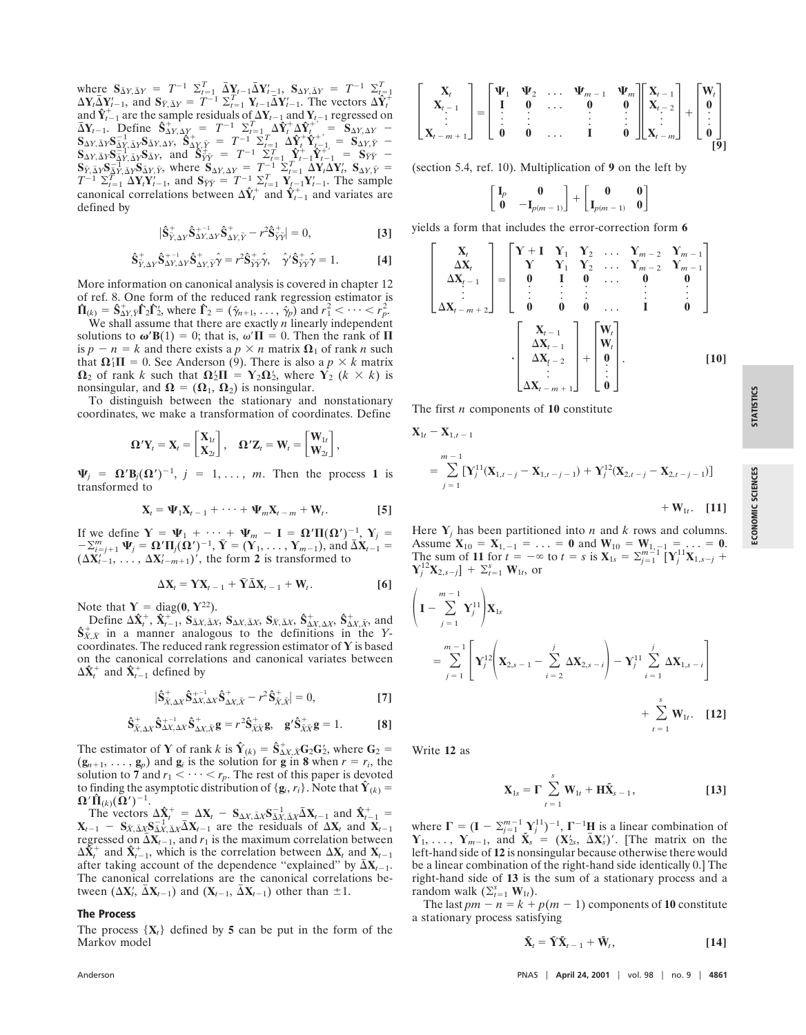ECONOMIC SCIENCES

where  $S_{\bar{\Delta}Y,\bar{\Delta}Y} = T^{-1} \Sigma_{t=1}^T \bar{\Delta}Y_{t-1} \bar{\Delta}Y'_{t-1}$ ,  $S_{\Delta Y,\bar{\Delta}Y} = T^{-1} \Sigma_{t=1}^T \Delta Y_t \bar{\Delta}Y'_{t-1}$ , and  $S_{\bar{Y},\bar{\Delta}Y} = T^{-1} \Sigma_{t=1}^T Y_{t-1} \bar{\Delta}Y'_{t-1}$ . The vectors  $\Delta \hat{Y}_t^+$ and  $\hat{Y}_{t-1}^+$  are the sample residuals of  $\Delta Y_{t-1}$  and  $Y_{t-1}$  regressed on and  $Y_{t-1}$  are the sample residuals of  $\Delta Y_{t-1}$  and  $Y_{t-1}$  regressed on<br>  $\Delta Y_{t-1}$ . Define  $S_{\Delta Y, \Delta Y}^+ = T^{-1} \sum_{t=1}^T \Delta Y_t^+ \Delta Y_t^+ = S_{\Delta Y, \Delta Y} -$ <br>  $S_{\Delta Y, \bar{\Delta}Y} \overline{S_{\Delta Y, \bar{\Delta}Y}} S_{\Delta Y, \Delta Y}$ ,  $S_{\Delta Y, \bar{Y}}^+ = T^{-1} \sum_{t=1$ canonical correlations between  $\Delta \hat{Y}_t^+$  and  $\hat{Y}_{t-1}^+$  and variates are defined by

$$
|\hat{\mathbf{S}}_{\bar{Y},\Delta Y}^{+}\hat{\mathbf{S}}_{\Delta Y,\Delta Y}^{+-1}\hat{\mathbf{S}}_{\Delta Y,\bar{Y}}^{+} - r^2 \hat{\mathbf{S}}_{\bar{Y}\bar{Y}}^{+} | = 0,
$$
 [3]

$$
\hat{\mathbf{S}}^+_{\bar{Y},\Delta Y}\hat{\mathbf{S}}^{+-1}_{\Delta Y,\Delta Y}\hat{\mathbf{S}}^+_{\Delta Y,\bar{Y}}\hat{\gamma} = r^2 \hat{\mathbf{S}}^+_{\bar{Y}\bar{Y}}\hat{\gamma}, \quad \hat{\gamma}'\hat{\mathbf{S}}^+_{\bar{Y}\bar{Y}}\hat{\gamma} = 1.
$$
 [4]

More information on canonical analysis is covered in chapter 12 of ref. 8. One form of the reduced rank regression estimator is  $\hat{\Pi}_{(k)} = \hat{\mathbf{S}}^+_{\Delta Y, \bar{Y}} \hat{\mathbf{\Gamma}}_2 \hat{\mathbf{\Gamma}}'_2$ , where  $\hat{\mathbf{\Gamma}}_2 = (\hat{\gamma}_{n+1}, \dots, \hat{\gamma}_p)$  and  $r_1^2 < \dots < r_p^2$ .

We shall assume that there are exactly  $n$  linearly independent solutions to  $\omega'$ **B**(1) = 0; that is,  $\omega'$ **II** = 0. Then the rank of **II** is  $p - n = k$  and there exists a  $p \times n$  matrix  $\Omega_1$  of rank *n* such that  $\Omega_1\Pi = 0$ . See Anderson (9). There is also a  $p \times k$  matrix  $\Omega_2$  of rank k such that  $\Omega_2' \Pi = Y_2 \Omega_2'$ , where  $Y_2$  (k × k) is nonsingular, and  $\mathbf{\Omega} = (\mathbf{\Omega}_1, \mathbf{\Omega}_2)$  is nonsingular.

To distinguish between the stationary and nonstationary coordinates, we make a transformation of coordinates. Define

$$
\mathbf{\Omega}'\mathbf{Y}_t = \mathbf{X}_t = \begin{bmatrix} \mathbf{X}_{1t} \\ \mathbf{X}_{2t} \end{bmatrix}, \quad \mathbf{\Omega}'\mathbf{Z}_t = \mathbf{W}_t = \begin{bmatrix} \mathbf{W}_{1t} \\ \mathbf{W}_{2t} \end{bmatrix},
$$

 $\Psi_i = \Omega' \mathbf{B}_i(\Omega')^{-1}$ ,  $j = 1, \ldots, m$ . Then the process 1 is transformed to

$$
\mathbf{X}_{t} = \mathbf{\Psi}_{1}\mathbf{X}_{t-1} + \cdots + \mathbf{\Psi}_{m}\mathbf{X}_{t-m} + \mathbf{W}_{t}.
$$
 [5]

If we define  $\mathbf{Y} = \mathbf{\Psi}_1 + \cdots + \mathbf{\Psi}_m - \mathbf{I} = \mathbf{\Omega}' \mathbf{\Pi}(\mathbf{\Omega}')^{-1}, \mathbf{Y}_j = -\sum_{i=j+1}^m \mathbf{\Psi}_j = \mathbf{\Omega}' \mathbf{\Pi}_j(\mathbf{\Omega}')^{-1}, \mathbf{Y} = (\mathbf{Y}_1, \ldots, \mathbf{Y}_{m-1}),$  and  $\overline{\Delta} \mathbf{X}_{t-1} =$  $(\Delta X'_{t-1}, \ldots, \Delta X'_{t-m+1})'$ , the form 2 is transformed to

$$
\Delta \mathbf{X}_{t} = \mathbf{Y} \mathbf{X}_{t-1} + \bar{\mathbf{Y}} \bar{\Delta} \mathbf{X}_{t-1} + \mathbf{W}_{t}.
$$
 [6]

Note that  $\Upsilon = \text{diag}(0, \Upsilon^{22})$ .<br>
Define  $\Delta \hat{X}_t^+$ ,  $\hat{X}_{t-1}^+$ ,  $S_{\bar{\Delta}X, \bar{\Delta}X}$ ,  $S_{\Delta X, \bar{\Delta}X}$ ,  $S_{\bar{\Delta}X, \bar{\Delta}X}$ ,  $S_{\Delta X, \bar{\Delta}X}$ ,  $S_{\Delta X, \bar{\Delta}X}$ ,  $S_{\Delta X, \bar{\Delta}X}$ , and  $\hat{S}_{X,X}^+$  in a manner analogous to the definitions in the Ycoordinates. The reduced rank regression estimator of  $\Upsilon$  is based on the canonical correlations and canonical variates between  $\Delta \hat{\mathbf{X}}_{t}^{+}$  and  $\hat{\mathbf{X}}_{t-1}^{+}$  defined by

$$
|\hat{S}_{\bar{X},\Delta X}^{\dagger}\hat{S}_{\Delta X,\Delta X}^{\dagger-1}\hat{S}_{\Delta X,\bar{X}}^{\dagger}-r^2\hat{S}_{\bar{X},\bar{X}}^{\dagger}|=0,
$$
 [7]

$$
\hat{\mathbf{S}}_{\bar{X},\Delta X}^{+} \hat{\mathbf{S}}_{\Delta X,\Delta X}^{+1} \hat{\mathbf{S}}_{\Delta X,\bar{X}}^{+} \mathbf{g} = r^2 \hat{\mathbf{S}}_{\bar{X}\bar{X}}^{+} \mathbf{g}, \quad \mathbf{g}' \hat{\mathbf{S}}_{\bar{X}\bar{X}}^{+} \mathbf{g} = 1.
$$
 [8]

The estimator of Y of rank k is  $\hat{Y}_{(k)} = \hat{S}_{\Delta X, \bar{X}}^+ \mathbf{G}_2 \mathbf{G}_2$ , where  $\mathbf{G}_2 =$  $(g_{n+1},..., g_p)$  and  $g_i$  is the solution for **g** in **8** when  $r = r_i$ , the solution to 7 and  $r_1 < \cdots < r_p$ . The rest of this paper is devoted to finding the asymptotic distribution of  $\{g_i, r_i\}$ . Note that  $\hat{Y}_{(k)} =$  $\mathbf{\Omega}'\hat{\mathbf{\Pi}}_{(k)}(\mathbf{\Omega}')^{-1}.$ 

The vectors  $\Delta \hat{\mathbf{X}}_t^+$  =  $\Delta \mathbf{X}_t$  –  $\mathbf{S}_{\Delta X, \bar{\Delta} X} \mathbf{S}_{\bar{\Delta} X, \bar{\Delta} X} \bar{\Delta} \mathbf{X}_{t-1}$  and  $\hat{\mathbf{X}}_{t-1}^+$  =  $X_{t-1}$  –  $S_{\bar{X}, \bar{\Delta}X} S_{\bar{\Delta}X, \bar{\Delta}X}^{-1} \bar{\Delta}X_{t-1}$  are the residuals of  $\Delta X_t$  and  $X_{t-1}$ regressed on  $\overline{\Delta X_{t-1}}$ , and  $r_1$  is the maximum correlation between  $\Delta \hat{X}_t^+$  and  $\hat{X}_{t-1}^+$ , which is the correlation between  $\Delta X_t$  and  $X_{t-1}$ after taking account of the dependence "explained" by  $\bar{\Delta}X_{t-1}$ . The canonical correlations are the canonical correlations between  $(\Delta X'_t, \Delta X_{t-1})$  and  $(X_{t-1}, \Delta X_{t-1})$  other than  $\pm 1$ .

#### **The Process**

The process  $\{X_t\}$  defined by 5 can be put in the form of the Markov model

$$
\begin{bmatrix} \mathbf{X}_{t} \\ \mathbf{X}_{t-1} \\ \vdots \\ \mathbf{X}_{t-m+1} \end{bmatrix} = \begin{bmatrix} \Psi_{1} & \Psi_{2} & \dots & \Psi_{m-1} & \Psi_{m} \\ \vdots & 0 & \dots & 0 & 0 \\ \vdots & \vdots & \ddots & \vdots & \vdots \\ 0 & 0 & \dots & 1 & 0 \end{bmatrix} \begin{bmatrix} \mathbf{X}_{t-1} \\ \mathbf{X}_{t-2} \\ \vdots \\ \mathbf{X}_{t-m} \end{bmatrix} + \begin{bmatrix} \mathbf{W}_{t} \\ \mathbf{0} \\ \vdots \\ \mathbf{0} \end{bmatrix}
$$

(section 5.4, ref. 10). Multiplication of 9 on the left by

$$
\begin{bmatrix} \mathbf{I}_p & \mathbf{0} \\ \mathbf{0} & -\mathbf{I}_{p(m-1)} \end{bmatrix} + \begin{bmatrix} \mathbf{0} & \mathbf{0} \\ \mathbf{I}_{p(m-1)} & \mathbf{0} \end{bmatrix}
$$

yields a form that includes the error-correction form 6

$$
\begin{bmatrix}\nX_t \\
\Delta X_t \\
\Delta X_{t-1} \\
\vdots \\
\Delta X_{t-m+2}\n\end{bmatrix} = \begin{bmatrix}\nY + I & Y_1 & Y_2 & \dots & Y_{m-2} & Y_{m-1} \\
Y & Y_1 & Y_2 & \dots & Y_{m-2} & Y_{m-1} \\
0 & I & 0 & \dots & 0 & 0 \\
\vdots & \vdots & \vdots & \ddots & \vdots & \vdots \\
0 & 0 & 0 & \dots & I & 0\n\end{bmatrix}
$$
\n
$$
\begin{bmatrix}\nX_{t-1} \\
\Delta X_{t-1} \\
\Delta X_{t-2} \\
\vdots \\
\Delta X_{t-m+1}\n\end{bmatrix} + \begin{bmatrix}\nW_t \\
W_t \\
0 \\
\vdots \\
0\n\end{bmatrix}.
$$
\n[10]

The first  $n$  components of 10 constitute

$$
\mathbf{X}_{1t} = \mathbf{X}_{1,t-1}
$$
  
= 
$$
\sum_{j=1}^{m-1} [\mathbf{Y}_{j}^{11}(\mathbf{X}_{1,t-j} - \mathbf{X}_{1,t-j-1}) + \mathbf{Y}_{j}^{12}(\mathbf{X}_{2,t-j} - \mathbf{X}_{2,t-j-1})]
$$
  
+ 
$$
\mathbf{W}_{1t}.
$$
 [11]

Here  $Y_i$  has been partitioned into *n* and *k* rows and columns. Assume  $X_{10} = X_{1,-1} = ... = 0$  and  $W_{10} = W_{1,-1} = ... = 0$ .<br>The sum of 11 for  $t = -\infty$  to  $t = s$  is  $X_{1s} = \sum_{j=1}^{m-1} [\mathbf{Y}_j^{11} \mathbf{X}_{1,s-j} +$  $\mathbf{Y}_{i}^{12} \mathbf{X}_{2,s-i}$  +  $\Sigma_{t=1}^{s}$  W<sub>1t</sub>, or

$$
\mathbf{I} - \sum_{j=1}^{m-1} \mathbf{Y}_{j}^{11} \mathbf{X}_{1s}
$$
\n
$$
= \sum_{j=1}^{m-1} \left[ \mathbf{Y}_{j}^{12} \left( \mathbf{X}_{2,s-1} - \sum_{i=2}^{j} \Delta \mathbf{X}_{2,s-i} \right) - \mathbf{Y}_{j}^{11} \sum_{i=1}^{j} \Delta \mathbf{X}_{1,s-i} \right] + \sum_{i=1}^{s} \mathbf{W}_{1i}. \quad [12]
$$

Write 12 as

$$
\mathbf{X}_{1s} = \Gamma \sum_{t=1}^{s} \mathbf{W}_{1t} + \mathbf{H}\tilde{\mathbf{X}}_{s-1},
$$
 [13]

where  $\Gamma = (\mathbf{I} - \sum_{j=1}^{m-1} \mathbf{Y}_j^{11})^{-1}$ ,  $\Gamma^{-1}\mathbf{H}$  is a linear combination of  $\mathbf{Y}_1, \ldots, \mathbf{Y}_{m-1}$ , and  $\mathbf{X}_s = (\mathbf{X}_{2s}^{\prime}, \bar{\Delta} \mathbf{X}_s^{\prime})^{\prime}$ . [The matrix on the left-hand side of 12 is nonsingular because otherwise there would be a linear combination of the right-hand side identically 0.] The right-hand side of 13 is the sum of a stationary process and a random walk  $(\sum_{t=1}^{s} \mathbf{W}_{1t}).$ 

The last  $pm - n = k + p(m - 1)$  components of 10 constitute a stationary process satisfying

$$
\tilde{\mathbf{X}}_t = \tilde{\mathbf{Y}} \tilde{\mathbf{X}}_{t-1} + \tilde{\mathbf{W}}_t, \tag{14}
$$

Anderson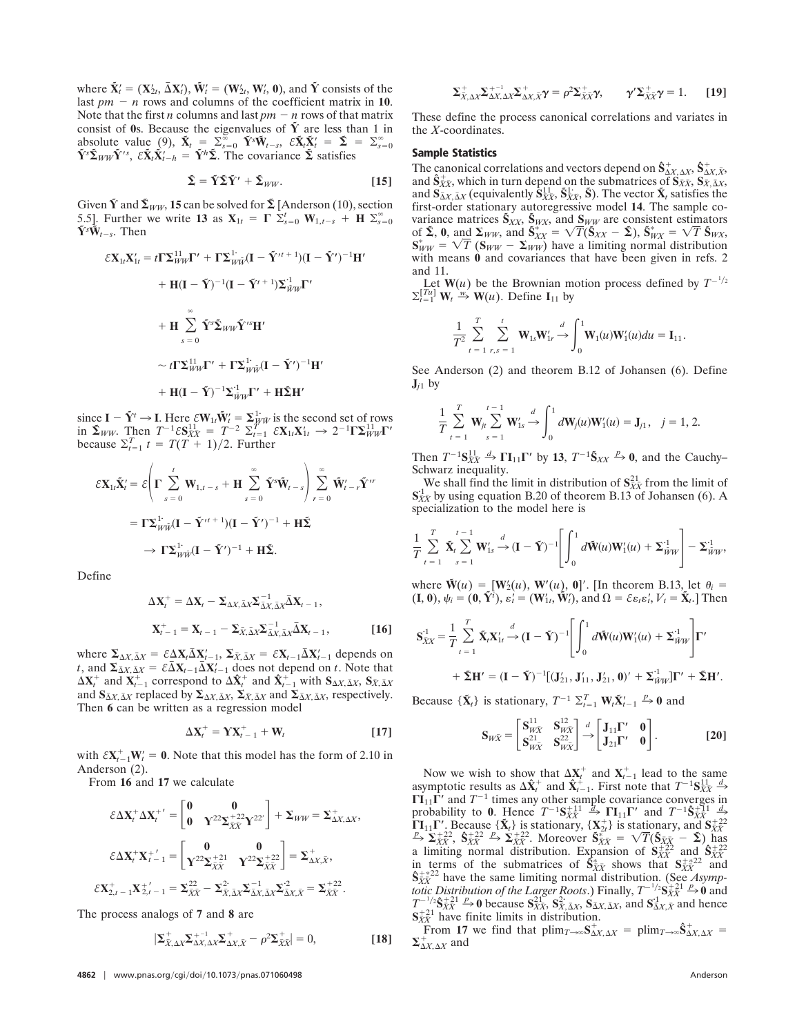where  $\tilde{\mathbf{X}}'_{t} = (\mathbf{X}'_{2t}, \bar{\Delta} \mathbf{X}'_{t}), \tilde{\mathbf{W}}'_{t} = (\mathbf{W}'_{2t}, \mathbf{W}'_{t}, \mathbf{0}),$  and  $\tilde{\mathbf{Y}}$  consists of the last  $pm - n$  rows and columns of the coefficient matrix in 10. Note that the first *n* columns and last  $pm - n$  rows of that matrix consist of 0s. Because the eigenvalues of  $\tilde{Y}$  are less than 1 in absolute value (9),  $\tilde{\mathbf{X}}_t = \sum_{s=0}^{\infty} \tilde{\mathbf{Y}}^s \tilde{\mathbf{W}}_{t-s}$ ,  $\tilde{\mathbf{X}}_t \tilde{\mathbf{X}}_t' = \tilde{\mathbf{\Sigma}} = \sum_{s=0}^{\infty} \tilde{\mathbf{Y}}^s \tilde{\mathbf{W}}_{t-s}$ ,  $\tilde{\mathbf{X}}_t \tilde{\mathbf{X}}_t' = \tilde{\mathbf{\Sigma}} = \sum_{s=0}^{\infty} \tilde{\mathbf{Y}}^s \tilde{\mathbf{\Sigma}}_{t} \tilde{\math$ 

$$
\tilde{\Sigma} = \tilde{\Upsilon} \tilde{\Sigma} \tilde{\Upsilon}' + \tilde{\Sigma}_{WW}.
$$

Given  $\tilde{\mathbf{Y}}$  and  $\tilde{\mathbf{\Sigma}}_{WW}$ , 15 can be solved for  $\tilde{\mathbf{\Sigma}}$  [Anderson (10), section 5.5]. Further we write 13 as  $X_{1t} = \Gamma \sum_{s=0}^{t} W_{1,t-s} + H \sum_{s=0}^{\infty}$  $\tilde{\mathbf{Y}}^s \tilde{\mathbf{W}}_{t-s}$ . Then

$$
\varepsilon \mathbf{X}_{1t} \mathbf{X}_{1t}' = t \mathbf{\Gamma} \mathbf{\Sigma}_{WW}^{11} \mathbf{\Gamma}' + \mathbf{\Gamma} \mathbf{\Sigma}_{WW}^{11} (\mathbf{I} - \tilde{\mathbf{Y}}^{\prime t+1}) (\mathbf{I} - \tilde{\mathbf{Y}}^{\prime})^{-1} \mathbf{H}'
$$
  
+ 
$$
\mathbf{H} (\mathbf{I} - \tilde{\mathbf{Y}})^{-1} (\mathbf{I} - \tilde{\mathbf{Y}}^{\prime t+1}) \mathbf{\Sigma}_{WW}^{-1} \mathbf{\Gamma}'
$$
  
+ 
$$
\mathbf{H} \sum_{s=0}^{\infty} \tilde{\mathbf{Y}}^{s} \tilde{\mathbf{\Sigma}}_{WW} \tilde{\mathbf{Y}}^{\prime s} \mathbf{H}'
$$
  

$$
\sim t \mathbf{\Gamma} \mathbf{\Sigma}_{WW}^{11} \mathbf{\Gamma}' + \mathbf{\Gamma} \mathbf{\Sigma}_{WW}^{11} (\mathbf{I} - \tilde{\mathbf{Y}}^{\prime})^{-1} \mathbf{H}'
$$
  
+ 
$$
\mathbf{H} (\mathbf{I} - \tilde{\mathbf{Y}})^{-1} \mathbf{\Sigma}_{WW}^{-1} \mathbf{\Gamma}' + \mathbf{H} \tilde{\mathbf{\Sigma}} \mathbf{H}'
$$

since  $\mathbf{I} - \tilde{\mathbf{Y}}^t \rightarrow \mathbf{I}$ . Here  $\mathcal{E} \mathbf{W}_{1t} \tilde{\mathbf{W}}_t^t = \sum_{i}^{1} \tilde{\mathbf{W}}_i$  is the second set of rows<br>in  $\tilde{\Sigma}_{WW}$ . Then  $T^{-1} \mathcal{E} \mathbf{S}_{XX}^{11} = T^{-2} \sum_{t=1}^{T} \mathcal{E} \mathbf{X}_{1t} \mathbf{X}_{1t}^t \rightarrow 2^{-1} \Gamma \Sigma_{WW}^{11} \$ 

$$
\mathcal{E}\mathbf{X}_{1t}\tilde{\mathbf{X}}_{t} = \mathcal{E}\left(\Gamma\sum_{s=0}^{t}\mathbf{W}_{1,t-s} + \mathbf{H}\sum_{s=0}^{\infty}\tilde{\mathbf{Y}}^{s}\tilde{\mathbf{W}}_{t-s}\right)\sum_{r=0}^{\infty}\tilde{\mathbf{W}}_{t-r}'\tilde{\mathbf{Y}}^{rr}
$$

$$
= \Gamma\Sigma_{W\tilde{W}}^{1}(\mathbf{I} - \tilde{\mathbf{Y}}^{\prime t+1})(\mathbf{I} - \tilde{\mathbf{Y}}^{\prime})^{-1} + \mathbf{H}\tilde{\mathbf{\Sigma}}
$$

$$
\rightarrow \Gamma\Sigma_{W\tilde{W}}^{1}(\mathbf{I} - \tilde{\mathbf{Y}}^{\prime})^{-1} + \mathbf{H}\tilde{\mathbf{\Sigma}}.
$$

Define

$$
\Delta \mathbf{X}_{t}^{+} = \Delta \mathbf{X}_{t} - \Sigma_{\Delta X, \bar{\Delta} X} \Sigma_{\bar{\Delta} X, \bar{\Delta} X}^{-1} \bar{\Delta} \mathbf{X}_{t-1},
$$
  

$$
\mathbf{X}_{t-1}^{+} = \mathbf{X}_{t-1} - \Sigma_{\bar{X}, \bar{\Delta} X} \Sigma_{\bar{\Delta} X, \bar{\Delta} X}^{-1} \bar{\Delta} \mathbf{X}_{t-1},
$$
 [16]

where  $\Sigma_{\Delta X, \bar{\Delta} X} = \mathcal{E} \Delta X_i \bar{\Delta} X'_{i-1}, \Sigma_{\bar{X}, \bar{\Delta} X} = \mathcal{E} X_{i-1} \bar{\Delta} X'_{i-1}$  depends on t, and  $\Sigma_{\bar{\Delta}X,\bar{\Delta}X} = \varepsilon \bar{\Delta}X_{t-1} \bar{\Delta}X'_{t-1}$  does not depend on t. Note that  $\Delta X_t^+$  and  $X_{t-1}^+$  correspond to  $\Delta \hat{X}_t^+$  and  $\hat{X}_{t-1}^+$  with  $S_{\Delta X, \bar{\Delta} X}$ ,  $S_{\bar{X}, \bar{\Delta} X}$ and  $S_{\bar{\Delta}X, \bar{\Delta}X}$  replaced by  $\Sigma_{\Delta X, \bar{\Delta}X}$ ,  $\Sigma_{\bar{X}, \bar{\Delta}X}$  and  $\Sigma_{\bar{\Delta}X, \bar{\Delta}X}$ , respectively. Then 6 can be written as a regression model

$$
\Delta \mathbf{X}_{t}^{+} = \mathbf{Y} \mathbf{X}_{t-1}^{+} + \mathbf{W}_{t} \tag{17}
$$

with  $\mathcal{E}X_{t-1}^+W_t' = 0$ . Note that this model has the form of 2.10 in Anderson (2).

From 16 and 17 we calculate

$$
\mathcal{E}\Delta \mathbf{X}_{t}^{+} \Delta \mathbf{X}_{t}^{+'} = \begin{bmatrix} 0 & 0 \\ 0 & \mathbf{\hat{Y}}^{22} \mathbf{\hat{\Sigma}}_{\bar{X}\bar{X}}^{+22} \mathbf{\hat{Y}}^{22'} \end{bmatrix} + \mathbf{\Sigma}_{WW} = \mathbf{\Sigma}_{\Delta X, \Delta X}^{+},
$$

$$
\mathcal{E}\Delta \mathbf{X}_{t}^{+} \mathbf{X}_{t-1}^{+'} = \begin{bmatrix} 0 & 0 \\ \mathbf{\hat{Y}}^{22} \mathbf{\hat{\Sigma}}_{\bar{X}\bar{X}}^{+22} & \mathbf{\hat{Y}}^{22} \mathbf{\hat{\Sigma}}_{\bar{X}\bar{X}}^{+22} \end{bmatrix} = \mathbf{\Sigma}_{\Delta X, \bar{X}}^{+},
$$

$$
\mathcal{E}\mathbf{X}_{2,t-1}^{+} \mathbf{X}_{2,t-1}^{+'} = \mathbf{\Sigma}_{\bar{X}\bar{X}}^{2} - \mathbf{\Sigma}_{\bar{X}, \bar{\Delta}X}^{2} \mathbf{\Sigma}_{\bar{\Delta}X, \bar{\Delta}X}^{-1} \mathbf{\Sigma}_{\bar{\Delta}X, \bar{X}}^{-2} = \mathbf{\Sigma}_{\bar{X}\bar{X}}^{+22}.
$$

The process analogs of 7 and 8 are

$$
\sum_{\bar{X},\Delta X}^{\pm} \sum_{\Delta X,\Delta X}^{\pm-1} \sum_{\Delta X,\bar{X}}^{\pm} - \rho^2 \sum_{\bar{X}\bar{X}}^{\pm} = 0, \tag{18}
$$

$$
\Sigma_{\bar{X},\Delta X}^+ \Sigma_{\Delta X,\Delta X}^{+ -1} \Sigma_{\Delta X,\bar{X}}^+ \gamma = \rho^2 \Sigma_{\bar{X}\bar{X}}^+ \gamma, \qquad \gamma' \Sigma_{\bar{X}\bar{X}}^+ \gamma = 1. \qquad [19]
$$

These define the process canonical correlations and variates in the  $X$ -coordinates.

## **Sample Statistics**

The canonical correlations and vectors depend on  $\hat{S}_{\Delta X, \Delta X}^+$ ,  $\hat{S}_{\Delta X, \bar{X}}^+$ , and  $\hat{S}_{\bar{X}\bar{X}}^+$ , which in turn depend on the submatrices of  $S_{\bar{X}\bar{X}}$ ,  $S_{\bar{X}, \bar{\Delta}X}$ , and  $S_{\bar{\Delta}X, \bar{\Delta}X}$  (equivalently  $S_{\bar{X}\bar{X}}^{11}, \tilde{S}_{\bar{X}\bar{X}}^{11}, \tilde{S}$ ). The vector  $\tilde{X}_t$  satisfies the first-order stationary autoregressive model 14. The sample covariance matrices  $\tilde{S}_{XX}$ ,  $\tilde{S}_{WX}$ , and  $S_{WW}$  are consistent estimators of  $\tilde{\Sigma}$ , 0, and  $\Sigma_{WW}$ , and  $\tilde{S}_{XX} = \sqrt{T}(\tilde{S}_{XX} - \tilde{\Sigma})$ ,  $\tilde{S}_{WX}^* = \sqrt{T} \tilde{S}_{WX}$ ,  $S_{WW}^* = \sqrt{T} (S_{WW} - \Sigma_{WW})$  have a limiting normal distribution with means 0 and covariances that have been given in refs. 2 and 11.

Let  $W(u)$  be the Brownian motion process defined by  $T^{-1/2}$  $\Sigma_{t=1}^{[Tu]}$  W<sub>t</sub>  $\overset{w}{\rightarrow}$  W(u). Define  $I_{11}$  by

$$
\frac{1}{T^2} \sum_{t=1}^{T} \sum_{r,s=1}^{t} \mathbf{W}_{1s} \mathbf{W}_{1r}^{\prime} \stackrel{d}{\rightarrow} \int_{0}^{1} \mathbf{W}_{1}(u) \mathbf{W}_{1}^{\prime}(u) du = \mathbf{I}_{11}
$$

See Anderson (2) and theorem B.12 of Johansen (6). Define  $J_{j1}$  by

$$
\frac{1}{T}\sum_{t=1}^{T}\mathbf{W}_{jt}^{t}\sum_{s=1}^{t-1}\mathbf{W}_{1s}^{t} \rightarrow \int_{0}^{1} d\mathbf{W}_{j}(u)\mathbf{W}_{1}^{t}(u) = \mathbf{J}_{j1}, \quad j=1, 2.
$$

Then  $T^{-1}S_{\bar{X}\bar{X}}^{\frac{11}{2}} \stackrel{d}{\rightarrow} \Gamma I_{11}\Gamma'$  by 13,  $T^{-1}\tilde{S}_{XX} \stackrel{p}{\rightarrow} 0$ , and the Cauchy-Schwarz inequality.

We shall find the limit in distribution of  $S_{\overline{X}\overline{X}}^{21}$  from the limit of  $S_{X\bar{X}}^1$  by using equation B.20 of theorem B.13 of Johansen (6). A specialization to the model here is

$$
\frac{1}{T}\sum_{t=1}^T\tilde{\mathbf{X}}_t\sum_{s=1}^{t-1}\mathbf{W}_{1s}^t\stackrel{d}{\rightarrow}(\mathbf{I}-\tilde{\mathbf{Y}})^{-1}\Bigg[\int_0^1 d\tilde{\mathbf{W}}(u)\mathbf{W}_1^{\prime}(u)+\Sigma_{\tilde{W}W}^{\cdot 1}\Bigg]-\Sigma_{\tilde{W}W}^{\cdot 1},
$$

where  $\tilde{\mathbf{W}}(u) = [\mathbf{W}'_2(u), \mathbf{W}'(u), \mathbf{0}]'$ . [In theorem B.13, let  $\theta_i =$  $(1, 0), \psi_i = (0, \tilde{Y}^i), \varepsilon'_i = (W'_{1t}, \tilde{W}'_i), \text{ and } \Omega = \varepsilon_{\varepsilon_i \varepsilon'_i}, V_i = \tilde{X}_i.$  Then

$$
\mathbf{S}_{\bar{X}X}^{1} = \frac{1}{T} \sum_{t=1}^{T} \tilde{\mathbf{X}}_{t} \mathbf{X}_{1t}^{\prime} \stackrel{d}{\rightarrow} (\mathbf{I} - \tilde{\mathbf{Y}})^{-1} \Bigg[ \int_{0}^{1} d\tilde{\mathbf{W}}(u) \mathbf{W}_{1}^{\prime}(u) + \Sigma_{\tilde{W}W}^{-1} \Bigg] \mathbf{\Gamma}^{\prime} + \tilde{\mathbf{\Sigma}} \mathbf{H}^{\prime} = (\mathbf{I} - \tilde{\mathbf{Y}})^{-1} [(\mathbf{J}_{21}^{\prime}, \mathbf{J}_{11}^{\prime}, \mathbf{J}_{21}^{\prime}, \mathbf{0})^{\prime} + \Sigma_{\tilde{W}W}^{-1} \Big] \mathbf{\Gamma}^{\prime} + \tilde{\mathbf{\Sigma}} \mathbf{H}^{\prime}
$$

Because  $\{\tilde{\mathbf{X}}_t\}$  is stationary,  $T^{-1} \Sigma_{t=1}^T \mathbf{W}_t \tilde{\mathbf{X}}_{t-1}^T \stackrel{p}{\rightarrow} 0$  and

$$
\mathbf{S}_{W\bar{X}} = \begin{bmatrix} \mathbf{S}_{W\bar{X}}^{11} & \mathbf{S}_{W\bar{X}}^{12} \\ \mathbf{S}_{W\bar{X}}^{21} & \mathbf{S}_{W\bar{X}}^{22} \end{bmatrix} \stackrel{d}{\rightarrow} \begin{bmatrix} \mathbf{J}_{11}\Gamma' & \mathbf{0} \\ \mathbf{J}_{21}\Gamma' & \mathbf{0} \end{bmatrix}.
$$
 [20]

Now we wish to show that  $\Delta \mathbf{X}_{t}^{+}$  and  $\mathbf{X}_{t-1}^{+}$  lead to the same asymptotic results as  $\Delta \hat{\mathbf{X}}_t^+$  and  $\hat{\mathbf{X}}_{t-1}^+$ . First note that  $T^{-1} \mathbf{S}_{X}^{\frac{11}{2}} \stackrel{d}{\rightarrow}$ asymptotic results as  $\Delta \mathbf{A}_t$  and  $\mathbf{A}_{t-1}$ , rust note that  $t = \Delta x$ <br>  $\Gamma_1 \Gamma'$  and  $T^{-1}$  times any other sample covariance converges in<br>
probability to 0. Hence  $T^{-1}S_{XX}^{+1} \stackrel{d}{\rightarrow} \Gamma_1 \Gamma'$  and  $T^{-1}S_{XX}^{+1} \stackrel{$ in terms of the submatrices of  $\vec{S}_{\bar{X}\bar{X}}^*$  shows that  $S_{\bar{X}\bar{X}}^{+\infty/2}$  and  $\hat{S}_{\bar{X}\bar{X}}^{+*22}$  have the same limiting normal distribution. (See Asymptotal Distribution of the Larger Roots.) Finally,  $T^{-1/2}S_{XX}^{\pm 21} \rightarrow 0$  and<br>  $T^{-1/2}S_{XX}^{\pm 21} \rightarrow 0$  because  $S_{XX}^{21}S_{XX}^{\pm 21}$ ,  $S_{XX}$  and  $S_{\Delta X, \bar{X}}^{\pm 21}$  have finite limits in distribution.

From 17 we find that  $\text{plim}_{T\rightarrow\infty}S_{\Delta X, \Delta X}^{+} = \text{plim}_{T\rightarrow\infty}S_{\Delta X, \Delta X}^{+} =$  $\Sigma_{\Delta X, \Delta X}^+$  and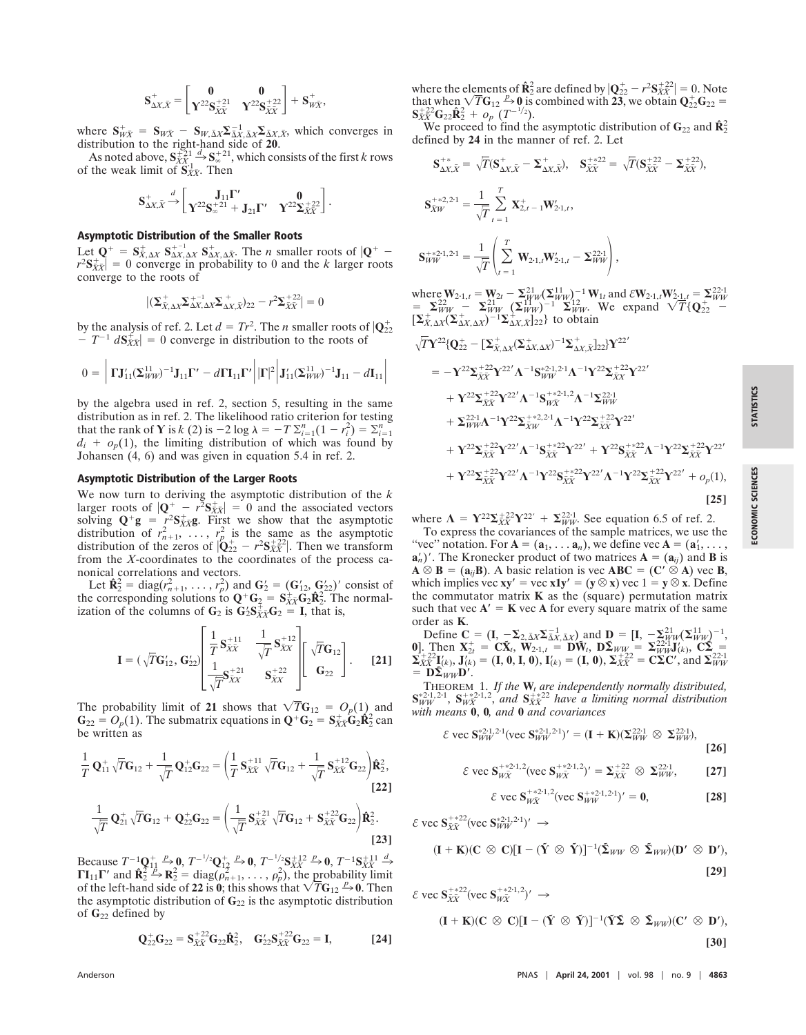**ECONOMIC SCIENCES**

where  $S_{W\bar{X}}^+ = S_{W\bar{X}} - S_{W,\bar{\Delta}X}\Sigma_{\bar{\Delta}X,\bar{\Delta}X}^{-1}\Sigma_{\bar{\Delta}X,\bar{X}}$ , which converges in

distribution to the right-hand side of **20**.<br>As noted above,  $S_{XX}^{\pm 21}$ ,  $\overset{d}{\rightarrow} S_{\infty}^{\pm 21}$ , which consists of the first *k* rows of the weak limit of  $\mathbf{S}_{\bar{X}\bar{X}}^{1}$ . Then

$$
S_{\Delta X, \bar X}^+\stackrel{d}{\rightarrow} \begin{bmatrix} J_{11}\Gamma' & 0 \\ Y^{22}S_\infty^{+21}+J_{21}\Gamma' & Y^{22}\Sigma_{XX}^{+22} \end{bmatrix}.
$$

#### **Asymptotic Distribution of the Smaller Roots**

Let  $Q^+$  =  $S^+_{X,\Delta X} S^{+-1}_{\Delta X,\Delta X} S^+_{\Delta X,\Delta \bar{X}}$ . The *n* smaller roots of  $|Q^+$  –  $r^2S_{XX}^{\pm} = 0$  converge in probability to 0 and the *k* larger roots converge to the roots of

$$
\big|(\mathbf{\Sigma}_{\bar{X},\Delta X}^{\pm}\mathbf{\Sigma}_{\Delta X,\Delta X}^{\pm-1}\mathbf{\Sigma}_{\Delta X,\bar{X}}^{\pm})_{22}-r^2\mathbf{\Sigma}_{\bar{X}\bar{X}}^{\pm22}\big|=0
$$

by the analysis of ref. 2. Let  $d = Tr^2$ . The *n* smaller roots of  $|Q_{22}^+|$  $-T^{-1} dS_{\bar{X}\bar{X}}^{\dagger} = 0$  converge in distribution to the roots of

$$
0 = \left| \Gamma \mathbf{J}_{11}' (\Sigma_{WW}^{11})^{-1} \mathbf{J}_{11} \Gamma' - d \Gamma \mathbf{I}_{11} \Gamma' \right| |\Gamma|^2 \left| \mathbf{J}_{11}' (\Sigma_{WW}^{11})^{-1} \mathbf{J}_{11} - d \mathbf{I}_{11} \right|
$$

by the algebra used in ref. 2, section 5, resulting in the same distribution as in ref. 2. The likelihood ratio criterion for testing that the rank of **Y** is *k* (2) is  $-2 \log \lambda = -T \sum_{i=1}^{n} (1 - r_i^2) = \sum_{i=1}^{n}$  $d_i + o_p(1)$ , the limiting distribution of which was found by Johansen (4, 6) and was given in equation 5.4 in ref. 2.

### **Asymptotic Distribution of the Larger Roots**

We now turn to deriving the asymptotic distribution of the *k* larger roots of  $|\mathbf{Q}^+ - r^2 \mathbf{S}_{\bar{X}\bar{X}}^+| = 0$  and the associated vectors solving  $Q^+g = r^2S_{XX}^+g$ . First we show that the asymptotic distribution of  $r_{n+1}^2, \ldots, r_p^2$  is the same as the asymptotic distribution of the zeros of  $|\mathbf{Q}_{22}^+ - r^2 \mathbf{S}_{XX}^{+22}|$ . Then we transform from the *X*-coordinates to the coordinates of the process canonical correlations and vectors.

Let  $\hat{\mathbf{R}}_2^2 = \text{diag}(r_{n+1}^2, \ldots, r_p^2)$  and  $\mathbf{G}_2' = (\mathbf{G}_{12}, \mathbf{G}_{22}')'$  consist of the corresponding solutions to  $Q^+G_2 = S_{XX}^+G_2 \hat{R}_2^2$ . The normalization of the columns of  $\mathbf{G}_2$  is  $\mathbf{G}_2' \mathbf{S}_{X \bar{X}}^{\dagger} \mathbf{G}_2 = \mathbf{I}$ , that is,

$$
\mathbf{I} = (\sqrt{T}\mathbf{G}_{12}', \mathbf{G}_{22}') \begin{bmatrix} \frac{1}{T}\mathbf{S}_{\bar{X}\bar{X}}^{+11} & \frac{1}{\sqrt{T}}\mathbf{S}_{\bar{X}X}^{+12} \\ \frac{1}{\sqrt{T}}\mathbf{S}_{\bar{X}X}^{+21} & \mathbf{S}_{\bar{X}X}^{+22} \end{bmatrix} \begin{bmatrix} \sqrt{T}\mathbf{G}_{12} \\ \mathbf{G}_{22} \end{bmatrix}.
$$
 [21]

The probability limit of 21 shows that  $\sqrt{T}\mathbf{G}_{12} = O_p(1)$  and  $G_{22} = O_p(1)$ . The submatrix equations in  $Q^+G_2 = S_{X\bar{X}}^+G_2\hat{R}_2^2$  can be written as

$$
\frac{1}{T} \mathbf{Q}_{11}^{+} \sqrt{T} \mathbf{G}_{12} + \frac{1}{\sqrt{T}} \mathbf{Q}_{12}^{+} \mathbf{G}_{22} = \left( \frac{1}{T} \mathbf{S}_{\bar{X}\bar{X}}^{\pm 11} \sqrt{T} \mathbf{G}_{12} + \frac{1}{\sqrt{T}} \mathbf{S}_{\bar{X}\bar{X}}^{\pm 12} \mathbf{G}_{22} \right) \hat{\mathbf{R}}_{2}^{2},
$$
\n
$$
\frac{1}{\sqrt{T}} \mathbf{Q}_{21}^{+} \sqrt{T} \mathbf{G}_{12} + \mathbf{Q}_{22}^{+} \mathbf{G}_{22} = \left( \frac{1}{\sqrt{T}} \mathbf{S}_{\bar{X}\bar{X}}^{\pm 21} \sqrt{T} \mathbf{G}_{12} + \mathbf{S}_{\bar{X}\bar{X}}^{\pm 22} \mathbf{G}_{22} \right) \hat{\mathbf{R}}_{2}^{2}.
$$
\n[23]

Because  $T^{-1}$ **Q**<sup>1</sup><sub>1</sub><sup> $p$ </sup>, **0**,  $T^{-1/2}$ **Q**<sub>12</sub><sup> $p$ </sup>, **0**,  $T^{-1/2}$ **S** $\frac{1}{2}$ *X* $\frac{1}{2}$ <sup>2</sup>, **0**,  $T^{-1}$ **S** $\frac{1}{2}$ *X* $\frac{1}{2}$  $\Gamma$ **I**<sub>11</sub> $\Gamma'$  and  $\hat{\mathbf{R}}_2^2 \stackrel{\text{def}}{=} \mathbf{R}_2^2 = \text{diag}(\rho_{n+1}^2, \ldots, \rho_p^2)$ , the probability limit of the left-hand side of 22 is 0; this shows that  $\sqrt{T}G_{12} \rightarrow 0$ . Then the asymptotic distribution of  $\mathbf{G}_{22}$  is the asymptotic distribution of **G**<sup>22</sup> defined by

$$
Q_{22}^{+}G_{22} = S_{XX}^{+22}G_{22}\hat{R}_{2}^{2}, \quad G_{22}'S_{XX}^{+22}G_{22} = I, \tag{24}
$$

where the elements of  $\hat{\mathbf{R}}_2^2$  are defined by  $|\mathbf{Q}_{22}^+ - r^2 \mathbf{S}_{XX}^{\pm 22}| = 0$ . Note that when  $\sqrt{T}\mathbf{G}_{12} \stackrel{p}{\rightarrow} \mathbf{0}$  is combined with 23, we obtain  $\mathbf{Q}_{22}^+\mathbf{G}_{22} =$  ${\bf S}_{XX}^{+22} {\bf G}_{22} {\bf \hat{R}}_2^2 + o_p(T^{-1/2}).$ 

We proceed to find the asymptotic distribution of  $\mathbf{G}_{22}$  and  $\hat{\mathbf{R}}_2^2$ defined by **24** in the manner of ref. 2. Let

$$
\mathbf{S}_{\Delta X, \bar{X}}^{+*} = \sqrt{T} (\mathbf{S}_{\Delta X, \bar{X}}^{+} - \mathbf{\Sigma}_{\Delta X, \bar{X}}^{+}), \quad \mathbf{S}_{\bar{X}\bar{X}}^{+*22} = \sqrt{T} (\mathbf{S}_{\bar{X}\bar{X}}^{+22} - \mathbf{\Sigma}_{\bar{X}\bar{X}}^{+22}),
$$
\n
$$
\mathbf{S}_{\bar{X}W}^{+*2,21} = \frac{1}{\sqrt{T}} \sum_{t=1}^{T} \mathbf{X}_{2,t-1}^{+} \mathbf{W}_{21,t}^{\prime},
$$
\n
$$
\mathbf{S}_{WW}^{+*21,21} = \frac{1}{\sqrt{T}} \left( \sum_{t=1}^{T} \mathbf{W}_{21,t} \mathbf{W}_{21,t}^{\prime} - \mathbf{\Sigma}_{WW}^{221} \right),
$$

where  $W_{2\cdot1,t} = W_{2t} - \sum_{i}^{21} W(\sum_{i}^{11}W_{i})^{-1} W_{1t}$  and  $\mathcal{E}W_{2\cdot1,t}W_{2\cdot1,t} = \sum_{i}^{22\cdot1} W_{i}$  $= \sum_{WW}^{22} - \sum_{WW}^{11} (\Sigma_{WW}^{11})^{-1} \Sigma_{WW}^{12}$ . We expand  $\sqrt{T} \{Q_{22}^+ [\Sigma_{\bar{X},\Delta X}^{+}(\Sigma_{\Delta X,\Delta X}^{+})^{-1}\Sigma_{\Delta X,\bar{X}}^{+}]_{22}$ } to obtain

$$
\begin{split}\n&\sqrt{T}\mathbf{Y}^{22}\{\mathbf{Q}_{22}^{+}-[\mathbf{\Sigma}_{\bar{X},\Delta X}^{+}(\mathbf{\Sigma}_{\Delta X,\Delta X}^{+})^{-1}\mathbf{\Sigma}_{\Delta X,\bar{X}}^{+}]_{22}\}\mathbf{Y}^{22'} \\
&=-\mathbf{Y}^{22}\mathbf{\Sigma}_{\bar{X}\bar{X}}^{+22}\mathbf{Y}^{22'}\mathbf{\Lambda}^{-1}\mathbf{S}_{WW}^{*2\cdot1,2\cdot1}\mathbf{\Lambda}^{-1}\mathbf{Y}^{22}\mathbf{\Sigma}_{\bar{X}\bar{X}}^{+22}\mathbf{Y}^{22'} \\
&+ \mathbf{Y}^{22}\mathbf{\Sigma}_{\bar{X}\bar{X}}^{+22}\mathbf{Y}^{22'}\mathbf{\Lambda}^{-1}\mathbf{S}_{W\bar{X}}^{+*2\cdot1,2}\mathbf{\Lambda}^{-1}\mathbf{\Sigma}_{WW}^{22\cdot1} \\
&+ \mathbf{\Sigma}_{WW}^{22\cdot1}\mathbf{\Lambda}^{-1}\mathbf{Y}^{22}\mathbf{\Sigma}_{\bar{X}W}^{+*2,2\cdot1}\mathbf{\Lambda}^{-1}\mathbf{Y}^{22}\mathbf{\Sigma}_{\bar{X}\bar{X}}^{+22}\mathbf{Y}^{22'} \\
&+ \mathbf{Y}^{22}\mathbf{\Sigma}_{\bar{X}\bar{X}}^{+22}\mathbf{Y}^{22'}\mathbf{\Lambda}^{-1}\mathbf{S}_{\bar{X}\bar{X}}^{+*22}\mathbf{Y}^{22'} + \mathbf{Y}^{22}\mathbf{S}_{\bar{X}\bar{X}}^{+*22}\mathbf{\Lambda}^{-1}\mathbf{Y}^{22}\mathbf{\Sigma}_{\bar{X}\bar{X}}^{+22}\mathbf{Y}^{22'} + o_{p}(1), \\
&+ \mathbf{Y}^{22}\mathbf{\Sigma}_{\bar{X}\bar{X}}^{+22}\mathbf{Y}^{22'}\mathbf{\Lambda}^{-1}\mathbf{Y}^{22}\mathbf{S}_{\bar{X}\bar{X}}^{+*22}\mathbf{Y}^{22'}\mathbf{\Lambda}^{-1}\mathbf{Y}^{22}\mathbf{\Sigma}_{\bar{X}\bar{X}}^{+22}\mathbf{Y}^{22'} + o_{p}(1),\n\end{split}
$$
\n[25]

where  $\Lambda = \Upsilon^{22} \Sigma_{XX}^{+22} \Upsilon^{22'} + \Sigma_{WW}^{22 \cdot 1}$ . See equation 6.5 of ref. 2.

To express the covariances of the sample matrices, we use the "vec" notation. For  $A = (a_1, \ldots, a_n)$ , we define vec  $A = (a'_1, \ldots, a_n)$  $\mathbf{a}'_n$ )'. The Kronecker product of two matrices  $\mathbf{A} = (\mathbf{a}_{ij})$  and **B** is  $\mathbf{A} \otimes \mathbf{B} = (\mathbf{a}_{ij} \mathbf{B})$ . A basic relation is vec  $\mathbf{A}\mathbf{B}\mathbf{C} = (\mathbf{C}' \otimes \mathbf{A})$  vec **B**, which implies vec  $xy' = vec x1y' = (y \otimes x)$  vec  $1 = y \otimes x$ . Define the commutator matrix  $\bf{K}$  as the (square) permutation matrix such that vec  $A' = K$  vec A for every square matrix of the same order as **K**.

Define  $C = (\mathbf{I}, -\Sigma_{2, \bar{\Delta}X} \Sigma_{\bar{\Delta}X, \bar{\Delta}X}^{-1})$  and  $D = [\mathbf{I}, -\Sigma_{2, \bar{X}W}^{21} (\Sigma_{WW}^{11})^{-1}]$ , **0**]. Then  $X_{2t}^+ = \widetilde{CX}_t$ ,  $W_{2t,t} = \widetilde{DW}_t$ ,  $D\widetilde{X}_{WW} = \Sigma_{WW}^{22}J(t_k), C\widetilde{X}_{2t} =$  $\sum_{XX}^{+\frac{22}{2}} I_{(k)}^{v}$ ,  $J_{(k)}^{v} = (I, 0, I, 0), I_{(k)} = (I, 0), \sum_{XX}^{+\frac{22}{2}} I_{(k)}^{2}$  and  $\Sigma_{WW}^{22}$  $=$ **D** $\sum_{WW}$ **D**<sup>'</sup>.

THEOREM 1. *If the* **W***<sup>t</sup> are independently normally distributed,*  $S^{*2 \cdot 1,2 \cdot 1}_{WW}$ ,  $S^{*2 \cdot 1,2}_{WX}$ , *and*  $S^{*2 \cdot 2}_{XX}$  *have a limiting normal distribution with means* **0**, **0***, and* **0** *and covariances*

$$
\mathcal{E} \text{ vec } \mathbf{S}_{WW}^{*2 \cdot 1,2 \cdot 1}(\text{vec } \mathbf{S}_{WW}^{*2 \cdot 1,2 \cdot 1})' = (\mathbf{I} + \mathbf{K})(\mathbf{\Sigma}_{WW}^{22 \cdot 1} \otimes \mathbf{\Sigma}_{WW}^{22 \cdot 1}),
$$
 [26]

$$
\mathcal{E} \text{ vec } \mathbf{S}_{W\bar{X}}^{+ \infty 21,2} (\text{vec } \mathbf{S}_{W\bar{X}}^{+ \infty 21,2})' = \Sigma_{\bar{X}\bar{X}}^{+ 22} \otimes \Sigma_{WW}^{22\cdot 1}, \tag{27}
$$

$$
\mathcal{E} \text{ vec } \mathbf{S}_{W\bar{X}}^{+*2 \cdot 1,2}(\text{vec } \mathbf{S}_{WW}^{+*2 \cdot 1,2 \cdot 1})' = \mathbf{0},
$$
 [28]

 $\mathcal{E}$  vec  $\mathbf{S}_{\bar{X}\bar{X}}^{+*22}$ (vec  $\mathbf{S}_{WW}^{*2\cdot1,2\cdot1}$ )'  $\rightarrow$ 

$$
(\mathbf{I} + \mathbf{K})(\mathbf{C} \otimes \mathbf{C})[\mathbf{I} - (\tilde{\mathbf{Y}} \otimes \tilde{\mathbf{Y}})]^{-1}(\tilde{\boldsymbol{\Sigma}}_{WW} \otimes \tilde{\boldsymbol{\Sigma}}_{WW})(\mathbf{D'} \otimes \mathbf{D'}),
$$
\n[29]

$$
\varepsilon \operatorname{vec} S_{\bar{X}\bar{X}}^{*22}(\operatorname{vec} S_{W\bar{X}}^{*21,2})' \to
$$
  
(**I** + **K**)(**C**  $\otimes$  **C**)[**I** – ( $\tilde{Y} \otimes \tilde{Y}$ )]<sup>-1</sup>( $\tilde{Y}\tilde{\Sigma} \otimes \tilde{\Sigma}_{WW}$ )(**C**'  $\otimes$  **D**'), [30]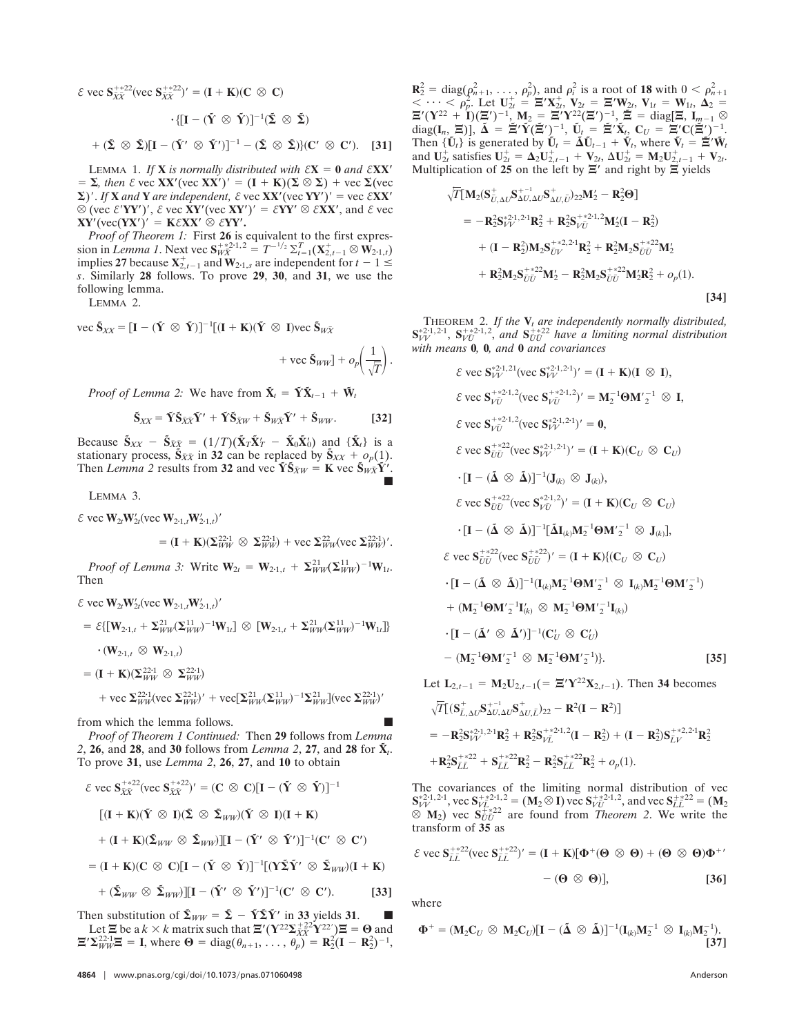$$
\mathcal{E} \text{ vec } S_{\bar{X}\bar{X}}^{+*22} (\text{ vec } S_{\bar{X}\bar{X}}^{+*22})' = (\mathbf{I} + \mathbf{K})(\mathbf{C} \otimes \mathbf{C})
$$

$$
\cdot \{ [\mathbf{I} - (\tilde{\mathbf{Y}} \otimes \tilde{\mathbf{Y}})]^{-1} (\tilde{\mathbf{\Sigma}} \otimes \tilde{\mathbf{\Sigma}})
$$

$$
+ (\tilde{\mathbf{\Sigma}} \otimes \tilde{\mathbf{\Sigma}}) [\mathbf{I} - (\tilde{\mathbf{Y}}' \otimes \tilde{\mathbf{Y}}')]^{-1} - (\tilde{\mathbf{\Sigma}} \otimes \tilde{\mathbf{\Sigma}}) \} (\mathbf{C}' \otimes \mathbf{C}'). \quad [311]
$$

LEMMA 1. If **X** is normally distributed with  $\mathcal{E}X = 0$  and  $\mathcal{E}XX'$  $= \Sigma$ , then  $\epsilon$  vec XX'(vec XX')' =  $(I + K)(\Sigma \otimes \Sigma)$  + vec  $\Sigma$ (vec  $\Sigma$ )'. If **X** and **Y** are independent,  $\epsilon$  vec **XX'**(vec **YY'**)' = vec  $\epsilon$ **XX'**  $\otimes$  (vec  $\mathcal{E}'YY'$ )',  $\mathcal{E}$  vec XY'(vec XY')' =  $\mathcal{E}YY' \otimes \mathcal{E}XX'$ , and  $\mathcal{E}$  vec  $XY'(vec(YX')') = K\mathcal{E}XX' \otimes \mathcal{E}YY'.$ 

Proof of Theorem 1: First 26 is equivalent to the first expression in *Lemma 1*. Next vec  $S_{WX}^{+2,1,2} = T^{-1/2} \Sigma_{t=1}^T (X_{2,t-1}^+ \otimes W_{2,1,t})$ implies 27 because  $X_{2,t-1}^+$  and  $W_{2\cdot1,s}$  are independent for  $t-1 \le$ s. Similarly 28 follows. To prove 29, 30, and 31, we use the following lemma.

LEMMA 2.

vec  $\tilde{\mathbf{S}}_{XX} = [\mathbf{I} - (\tilde{\mathbf{Y}} \otimes \tilde{\mathbf{Y}})]^{-1} [(\mathbf{I} + \mathbf{K})(\tilde{\mathbf{Y}} \otimes \mathbf{I})$ vec  $\tilde{\mathbf{S}}_{W\bar{X}}$ 

+ vec  $\mathbf{\tilde{S}}_{WW}$ ] +  $o_p\left(\frac{1}{\sqrt{T}}\right)$ .

*Proof of Lemma 2:* We have from  $\tilde{\mathbf{X}}_t = \tilde{\mathbf{Y}} \tilde{\mathbf{X}}_{t-1} + \tilde{\mathbf{W}}_t$ 

$$
\tilde{\mathbf{S}}_{XX} = \tilde{\mathbf{Y}} \tilde{\mathbf{S}}_{\bar{X}\bar{X}} \tilde{\mathbf{Y}}' + \tilde{\mathbf{Y}} \tilde{\mathbf{S}}_{\bar{X}W} + \tilde{\mathbf{S}}_{W\bar{X}} \tilde{\mathbf{Y}}' + \tilde{\mathbf{S}}_{WW}.
$$

Because  $\tilde{S}_{XX} - \tilde{S}_{\bar{X}\bar{X}} = (1/T)(\tilde{X}_T \tilde{X}_T' - \tilde{X}_0 \tilde{X}_0')$  and  $\{\tilde{X}_t\}$  is a stationary process,  $\tilde{\mathbf{S}}_{\bar{X}\bar{X}}$  in 32 can be replaced by  $\tilde{\mathbf{S}}_{XX} + o_p(1)$ . Then Lemma 2 results from 32 and vec  $\tilde{\mathbf{Y}} \tilde{\mathbf{S}}_{\bar{X}W} = \mathbf{K}$  vec  $\tilde{\mathbf{S}}_{W\bar{X}} \tilde{\mathbf{Y}}'$ .

LEMMA<sub>3</sub>.

 $\mathcal{E}$  vec  $\mathbf{W}_{2t}\mathbf{W}_{2t}'$  (vec  $\mathbf{W}_{2\cdot 1,t}\mathbf{W}_{2\cdot 1,t}'$ )'

$$
= (\mathbf{I} + \mathbf{K})(\Sigma_{WW}^{22 \cdot 1} \otimes \Sigma_{WW}^{22 \cdot 1}) + \text{vec } \Sigma_{WW}^{22} (\text{vec } \Sigma_{WW}^{22 \cdot 1})'.
$$

*Proof of Lemma 3:* Write  $W_{2t} = W_{2\cdot 1,t} + \Sigma_{WW}^{21} (\Sigma_{WW}^{11})^{-1} W_{1t}$ . Then

 $\mathcal{E}$  vec  $\mathbf{W}_{2t}\mathbf{W}_{2t}'$  (vec  $\mathbf{W}_{2\cdot 1,t}\mathbf{W}_{2\cdot 1,t}'$ )'

$$
= \mathcal{E}\{[\mathbf{W}_{2\cdot1,t} + \Sigma_{WW}^{21}(\Sigma_{WW}^{11})^{-1}\mathbf{W}_{1t}] \otimes [\mathbf{W}_{2\cdot1,t} + \Sigma_{WW}^{21}(\Sigma_{WW}^{11})^{-1}\mathbf{W}_{1t}]\}
$$
  

$$
\cdot (\mathbf{W}_{2\cdot1,t} \otimes \mathbf{W}_{2\cdot1,t})
$$
  

$$
= (\mathbf{I} + \mathbf{K})(\Sigma_{WW}^{22\cdot1} \otimes \Sigma_{WW}^{22\cdot1})
$$
  

$$
+ \text{vec}\Sigma_{WW}^{22\cdot1}(\text{vec}\Sigma_{WW}^{22\cdot1})' + \text{vec}[\Sigma_{WW}^{21}(\Sigma_{WW})^{-1}\Sigma_{WW}^{21}](\text{vec}\Sigma_{WW}^{22\cdot1})'
$$

from which the lemma follows.

Proof of Theorem 1 Continued: Then 29 follows from Lemma 2, 26, and 28, and 30 follows from Lemma 2, 27, and 28 for  $\tilde{\mathbf{X}}_t$ . To prove 31, use Lemma 2, 26, 27, and 10 to obtain

$$
\mathcal{E} \text{ vec } S_{\bar{X}\bar{X}}^{+*22} (\text{ vec } S_{\bar{X}\bar{X}}^{+*22})' = (\mathbf{C} \otimes \mathbf{C})[\mathbf{I} - (\tilde{\mathbf{Y}} \otimes \tilde{\mathbf{Y}})]^{-1}
$$
  
\n
$$
[(\mathbf{I} + \mathbf{K})(\tilde{\mathbf{Y}} \otimes \mathbf{I})(\tilde{\mathbf{\Sigma}} \otimes \tilde{\mathbf{\Sigma}}_{WW})(\tilde{\mathbf{Y}} \otimes \mathbf{I})(\mathbf{I} + \mathbf{K})
$$
  
\n
$$
+(\mathbf{I} + \mathbf{K})(\tilde{\mathbf{\Sigma}}_{WW} \otimes \tilde{\mathbf{\Sigma}}_{WW})][\mathbf{I} - (\tilde{\mathbf{Y}}' \otimes \tilde{\mathbf{Y}}')]^{-1}(\mathbf{C}' \otimes \mathbf{C}')
$$
  
\n
$$
=(\mathbf{I} + \mathbf{K})(\mathbf{C} \otimes \mathbf{C})[\mathbf{I} - (\tilde{\mathbf{Y}} \otimes \tilde{\mathbf{Y}})]^{-1}[(\mathbf{Y}\tilde{\mathbf{\Sigma}}\tilde{\mathbf{Y}}' \otimes \tilde{\mathbf{\Sigma}}_{WW})(\mathbf{I} + \mathbf{K})
$$
  
\n
$$
+(\tilde{\mathbf{\Sigma}}_{WW} \otimes \tilde{\mathbf{\Sigma}}_{WW})][\mathbf{I} - (\tilde{\mathbf{Y}}' \otimes \tilde{\mathbf{Y}}')]^{-1}(\mathbf{C}' \otimes \mathbf{C}').
$$
  
\n[33]

Then substitution of  $\tilde{\Sigma}_{WW} = \tilde{\Sigma} - \tilde{\Upsilon} \tilde{\Sigma} \tilde{\Upsilon}'$  in 33 yields 31. Let  $\Xi$  be a  $k \times k$  matrix such that  $\Xi'(\Upsilon^{22} \Sigma_{XX}^{+22} \Upsilon^{22}) \Xi = \Theta$  and  $\Xi' \Sigma_{WW}^{22 \cdot 1} \Xi = I$ , where  $\Theta = \text{diag}(\theta_{n+1}, \dots, \theta_p) = \mathbb{R}_2^2 (\mathbf{I} - \mathbb{R}_2^2)^{-1}$ ,  $\mathbf{R}_2^2 = \text{diag}(\rho_{n+1}^2, \dots, \rho_p^2)$ , and  $\rho_i^2$  is a root of 18 with  $0 < \rho_{n+1}^2 < \dots < \rho_p^2$ . Let  $\mathbf{U}_{2t}^+ = \mathbf{\Xi}' \mathbf{X}_{2t}^+$ ,  $\mathbf{V}_{2t} = \mathbf{\Xi}' \mathbf{W}_{2t}$ ,  $\mathbf{V}_{1t} = \mathbf{W}_{1t}$ ,  $\mathbf{\Delta}_2 = \mathbf{\Xi}' (\mathbf{Y}^{22} + \mathbf{I})(\mathbf{\Xi$ Then  $\{\tilde{\mathbf{U}}_t\}$  is generated by  $\tilde{\mathbf{U}}_t = \tilde{\boldsymbol{\Delta}} \tilde{\mathbf{U}}_{t-1} + \tilde{\mathbf{V}}_t$ , where  $\tilde{\mathbf{V}}_t = \tilde{\boldsymbol{\Xi}}' \tilde{\mathbf{W}}_t$ and  $U_{2t}^{+}$  satisfies  $U_{2t}^{+} = \Delta_2 U_{2,t-1}^{+} + V_{2t}$ ,  $\Delta U_{2t}^{+} = M_2 U_{2,t-1}^{+} + V_{2t}$ . Multiplication of 25 on the left by  $\Xi'$  and right by  $\Xi$  yields

$$
\sqrt{T}[\mathbf{M}_{2}(\mathbf{S}_{U,\Delta U}^{\dagger}\mathbf{S}_{\Delta U,\Delta U}^{\dagger})\mathbf{S}_{\Delta U,\bar{U}}^{\dagger})_{22}\mathbf{M}_{2}'-\mathbf{R}_{2}^{2}\mathbf{\Theta}]
$$
\n
$$
= -\mathbf{R}_{2}^{2}\mathbf{S}_{VV}^{*2\cdot1}\mathbf{R}_{2}^{2} + \mathbf{R}_{2}^{2}\mathbf{S}_{V\bar{U}}^{**2\cdot1}\mathbf{M}_{2}'(\mathbf{I}-\mathbf{R}_{2}^{2})
$$
\n
$$
+(\mathbf{I}-\mathbf{R}_{2}^{2})\mathbf{M}_{2}\mathbf{S}_{UV}^{\dagger*2\cdot2\cdot1}\mathbf{R}_{2}^{2} + \mathbf{R}_{2}^{2}\mathbf{M}_{2}\mathbf{S}_{UU}^{\dagger*22}\mathbf{M}_{2}'
$$
\n
$$
+ \mathbf{R}_{2}^{2}\mathbf{M}_{2}\mathbf{S}_{UU}^{**22}\mathbf{M}_{2}' - \mathbf{R}_{2}^{2}\mathbf{M}_{2}\mathbf{S}_{UU}^{\dagger*22}\mathbf{M}_{2}'\mathbf{R}_{2}^{2} + o_{p}(1).
$$
\n[34]

THEOREM 2. If the  $V_t$  are independently normally distributed,<br> $S_{VV}^{*2 \cdot 1,2 \cdot 1}, S_{VU}^{**2 \cdot 1,2},$  and  $S_{UU}^{+*2 \cdot 2}$  have a limiting normal distribution with means  $0$ ,  $0$ , and  $0$  and covariances

$$
\mathcal{E} \text{ vec } S_{VV}^{*2+1,21}(\text{vec } S_{VV}^{*2+1,21})' = (\mathbf{I} + \mathbf{K})(\mathbf{I} \otimes \mathbf{I}),
$$
\n
$$
\mathcal{E} \text{ vec } S_{V\bar{U}}^{*2+1,2}(\text{vec } S_{V\bar{U}}^{*2+1,2})' = \mathbf{M}_{2}^{-1} \boldsymbol{\Theta} \mathbf{M}_{2}^{\prime -1} \otimes \mathbf{I},
$$
\n
$$
\mathcal{E} \text{ vec } S_{V\bar{U}}^{*2+1,2}(\text{vec } S_{VV}^{*2+1,21})' = \mathbf{0},
$$
\n
$$
\mathcal{E} \text{ vec } S_{\bar{U}\bar{U}}^{*2+2}(\text{vec } S_{VV}^{*2+1,21})' = (\mathbf{I} + \mathbf{K})(\mathbf{C}_{U} \otimes \mathbf{C}_{U})
$$
\n
$$
\cdot [\mathbf{I} - (\mathbf{\Delta} \otimes \mathbf{\Delta})]^{-1}(\mathbf{J}_{(k)} \otimes \mathbf{J}_{(k)}),
$$
\n
$$
\mathcal{E} \text{ vec } S_{\bar{U}\bar{U}}^{*2+22}(\text{vec } S_{V\bar{U}}^{*2+1,2})' = (\mathbf{I} + \mathbf{K})(\mathbf{C}_{U} \otimes \mathbf{C}_{U})
$$
\n
$$
\cdot [\mathbf{I} - (\mathbf{\Delta} \otimes \mathbf{\Delta})]^{-1}[\mathbf{\Delta} \mathbf{I}_{(k)} \mathbf{M}_{2}^{-1} \boldsymbol{\Theta} \mathbf{M}_{2}^{\prime -1} \otimes \mathbf{J}_{(k)}],
$$
\n
$$
\mathcal{E} \text{ vec } S_{\bar{U}\bar{U}}^{**22}(\text{vec } S_{\bar{U}\bar{U}}^{**22})' = (\mathbf{I} + \mathbf{K})\{(\mathbf{C}_{U} \otimes \mathbf{C}_{U})
$$
\n
$$
\cdot [\mathbf{I} - (\mathbf{\Delta} \otimes \mathbf{\Delta})]^{-1}(\mathbf{I}_{(k)} \mathbf{M}_{2}^{-1} \boldsymbol{\Theta} \mathbf{M}_{2}^{\prime -1} \otimes \mathbf{I}_{(k)} \mathbf{M}_{
$$

Let  $L_{2,t-1} = M_2U_{2,t-1} (= \Xi'Y^{22}X_{2,t-1})$ . Then 34 becomes

$$
\begin{aligned}\n&\sqrt{T}\left[(\mathbf{S}_{L,\Delta U}^{+}\mathbf{S}_{\Delta U,\Delta U}^{+}\mathbf{S}_{\Delta U,\bar{L}}^{+}\right)_{22}-\mathbf{R}^{2}(\mathbf{I}-\mathbf{R}^{2})\right] \\
&= -\mathbf{R}_{2}^{2}\mathbf{S}_{VV}^{*2\cdot1,2\cdot1}\mathbf{R}_{2}^{2}+\mathbf{R}_{2}^{2}\mathbf{S}_{V\bar{L}}^{+*2\cdot1,2}(\mathbf{I}-\mathbf{R}_{2}^{2})+(\mathbf{I}-\mathbf{R}_{2}^{2})\mathbf{S}_{\bar{L}V}^{+*2,2\cdot1}\mathbf{R}_{2}^{2} \\
&+\mathbf{R}_{2}^{2}\mathbf{S}_{\bar{L}\bar{L}}^{+*22}+\mathbf{S}_{\bar{L}\bar{L}}^{+*22}\mathbf{R}_{2}^{2}-\mathbf{R}_{2}^{2}\mathbf{S}_{\bar{L}\bar{L}}^{+*22}\mathbf{R}_{2}^{2}+o_{p}(1).\n\end{aligned}
$$

The covariances of the limiting normal distribution of vec<br>  $S_{VV}^{*2 \cdot 1,2 \cdot 1}$ , vec  $S_{VL}^{*2 \cdot 1,2} = (M_2 \otimes I)$  vec  $S_{VL}^{*2 \cdot 1,2}$ , and vec  $S_{LL}^{*2 \cdot 2} = (M_2 \otimes M_2)$  vec  $S_{UU}^{*2 \cdot 2}$  are found from *Theorem 2*. We w transform of 35 as

$$
\mathcal{E} \text{ vec } \mathbf{S}_{\bar{L}\bar{L}}^{+*22} (\text{ vec } \mathbf{S}_{\bar{L}\bar{L}}^{+*22})' = (\mathbf{I} + \mathbf{K})[\Phi^+(\Theta \otimes \Theta) + (\Theta \otimes \Theta)\Phi^+]
$$

$$
- (\Theta \otimes \Theta)], \qquad (36)
$$

where

$$
\Phi^+ = (\mathbf{M}_2 \mathbf{C}_U \otimes \mathbf{M}_2 \mathbf{C}_U) [\mathbf{I} - (\tilde{\mathbf{\Delta}} \otimes \tilde{\mathbf{\Delta}})]^{-1} (\mathbf{I}_{(k)} \mathbf{M}_2^{-1} \otimes \mathbf{I}_{(k)} \mathbf{M}_2^{-1}).
$$
\n[37]